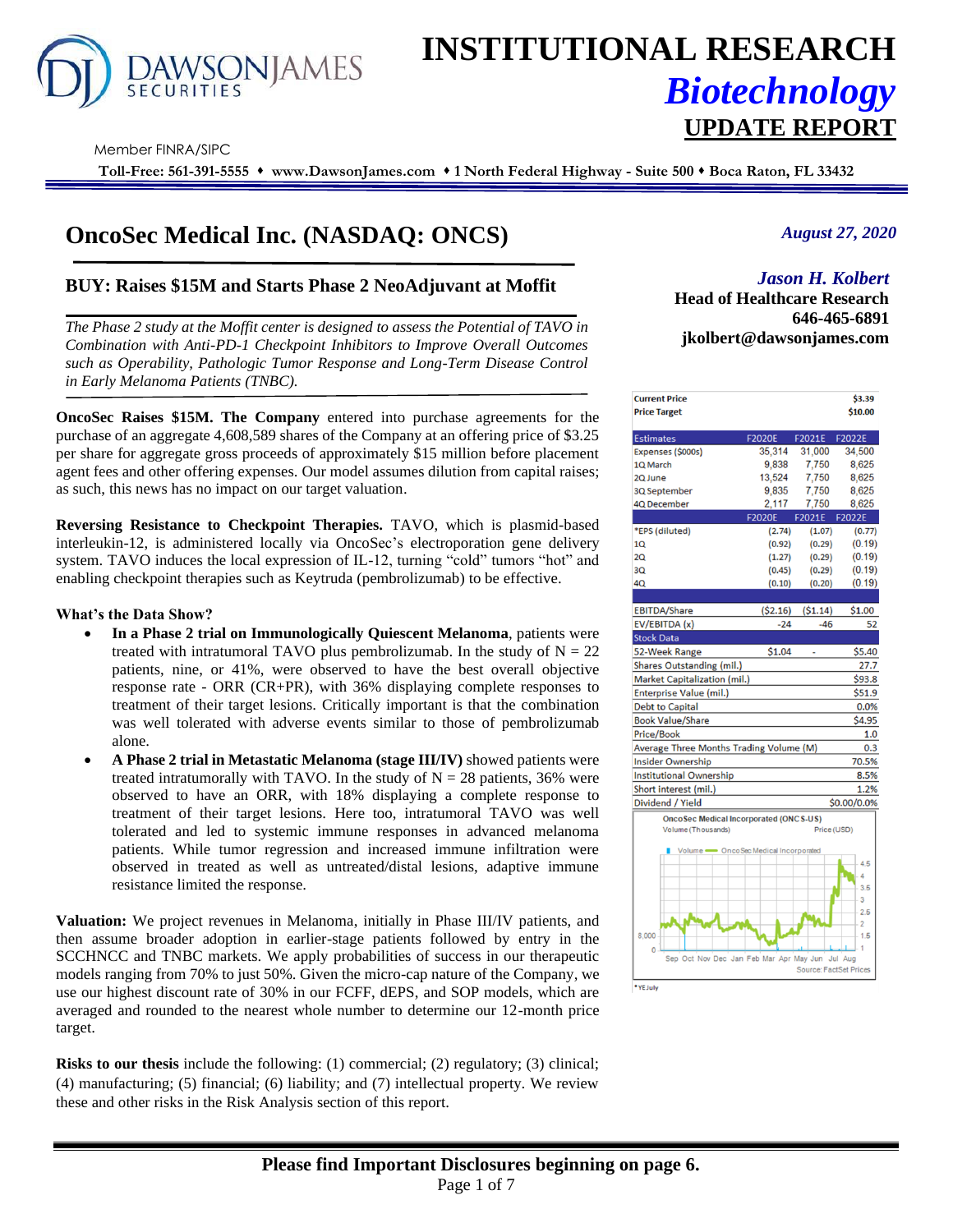

# **INSTITUTIONAL RESEARCH** *Biotechnology* **UPDATE REPORT**

Member FINRA/SIPC

**Toll-Free: 561-391-5555** ⬧ **www.DawsonJames.com** ⬧ **1 North Federal Highway - Suite 500** ⬧ **Boca Raton, FL 33432**

# **OncoSec Medical Inc. (NASDAQ: ONCS)**

# **BUY: Raises \$15M and Starts Phase 2 NeoAdjuvant at Moffit**

*The Phase 2 study at the Moffit center is designed to assess the Potential of TAVO in Combination with Anti-PD-1 Checkpoint Inhibitors to Improve Overall Outcomes such as Operability, Pathologic Tumor Response and Long-Term Disease Control in Early Melanoma Patients (TNBC).*

**OncoSec Raises \$15M. The Company** entered into purchase agreements for the purchase of an aggregate 4,608,589 shares of the Company at an offering price of \$3.25 per share for aggregate gross proceeds of approximately \$15 million before placement agent fees and other offering expenses. Our model assumes dilution from capital raises; as such, this news has no impact on our target valuation.

**Reversing Resistance to Checkpoint Therapies.** TAVO, which is plasmid-based interleukin-12, is administered locally via OncoSec's electroporation gene delivery system. TAVO induces the local expression of IL-12, turning "cold" tumors "hot" and enabling checkpoint therapies such as Keytruda (pembrolizumab) to be effective.

#### **What's the Data Show?**

- **In a Phase 2 trial on Immunologically Quiescent Melanoma**, patients were treated with intratumoral TAVO plus pembrolizumab. In the study of  $N = 22$ patients, nine, or 41%, were observed to have the best overall objective response rate - ORR (CR+PR), with 36% displaying complete responses to treatment of their target lesions. Critically important is that the combination was well tolerated with adverse events similar to those of pembrolizumab alone.
- **A Phase 2 trial in Metastatic Melanoma (stage III/IV)** showed patients were treated intratumorally with TAVO. In the study of  $N = 28$  patients, 36% were observed to have an ORR, with 18% displaying a complete response to treatment of their target lesions. Here too, intratumoral TAVO was well tolerated and led to systemic immune responses in advanced melanoma patients. While tumor regression and increased immune infiltration were observed in treated as well as untreated/distal lesions, adaptive immune resistance limited the response.

**Valuation:** We project revenues in Melanoma, initially in Phase III/IV patients, and then assume broader adoption in earlier-stage patients followed by entry in the SCCHNCC and TNBC markets. We apply probabilities of success in our therapeutic models ranging from 70% to just 50%. Given the micro-cap nature of the Company, we use our highest discount rate of 30% in our FCFF, dEPS, and SOP models, which are averaged and rounded to the nearest whole number to determine our 12-month price target.

**Risks to our thesis** include the following: (1) commercial; (2) regulatory; (3) clinical; (4) manufacturing; (5) financial; (6) liability; and (7) intellectual property. We review these and other risks in the Risk Analysis section of this report.

# *August 27, 2020*

# *Jason H. Kolbert*

**Investment Highlights Head of Healthcare Research 646-465-6891 jkolbert@dawsonjames.com**

| <b>Current Price</b>                          |               |                               | \$3.39      |
|-----------------------------------------------|---------------|-------------------------------|-------------|
| <b>Price Target</b>                           |               |                               | \$10.00     |
|                                               |               |                               |             |
| <b>Estimates</b>                              | <b>F2020E</b> | F2021E                        | F2022E      |
| Expenses (\$000s)                             | 35.314        | 31,000                        | 34.500      |
| 1Q March                                      | 9,838         | 7,750                         | 8,625       |
| 2Q June                                       | 13,524        | 7.750                         | 8.625       |
| 3Q September                                  | 9,835         | 7,750                         | 8,625       |
| 4Q December                                   | 2,117         | 7,750                         | 8,625       |
|                                               | <b>F2020E</b> | F2021E                        | F2022E      |
| *EPS (diluted)                                | (2.74)        | (1.07)                        | (0.77)      |
| 10                                            | (0.92)        | (0.29)                        | (0.19)      |
| 2Q                                            | (1.27)        | (0.29)                        | (0.19)      |
| 30                                            | (0.45)        | (0.29)                        | (0.19)      |
| 40                                            | (0.10)        | (0.20)                        | (0.19)      |
|                                               |               |                               |             |
| <b>EBITDA/Share</b>                           | ( \$2.16)     | (51.14)                       | \$1.00      |
| EV/EBITDA (x)                                 | $-24$         | $-46$                         | 52          |
| <b>Stock Data</b>                             |               |                               |             |
| 52-Week Range                                 | \$1.04        | L.                            | \$5.40      |
| <b>Shares Outstanding (mil.)</b>              |               |                               | 27.7        |
| Market Capitalization (mil.)                  |               |                               | \$93.8      |
| <b>Enterprise Value (mil.)</b>                |               |                               | \$51.9      |
| <b>Debt to Capital</b>                        |               |                               | 0.0%        |
| <b>Book Value/Share</b>                       |               |                               | \$4.95      |
| <b>Price/Book</b>                             |               |                               | 1.0         |
| Average Three Months Trading Volume (M)       |               |                               | 0.3         |
| <b>Insider Ownership</b>                      |               |                               | 70.5%       |
| <b>Institutional Ownership</b>                |               |                               | 8.5%        |
| Short interest (mil.)                         |               |                               | 1.2%        |
| Dividend / Yield                              |               |                               | \$0.00/0.0% |
| <b>OncoSec Medical Incorporated (ONCS-US)</b> |               |                               |             |
| Volume (Thousands)                            |               | Price (USD)                   |             |
| Volume - OncoSec Medical Incorporated         |               |                               |             |
|                                               |               |                               | 4.5         |
|                                               |               |                               | 4           |
|                                               |               |                               | 3.5         |
|                                               |               |                               | 3           |
|                                               |               |                               | 2.5<br>$-2$ |
| 8,000                                         |               |                               | $-1.5$      |
| $\mathbf{0}$                                  |               |                               |             |
| Sep Oct Nov Dec Jan Feb Mar Apr May Jun       |               |                               | Jul Aug     |
|                                               |               | <b>Source: FactSet Prices</b> |             |
| *YE July                                      |               |                               |             |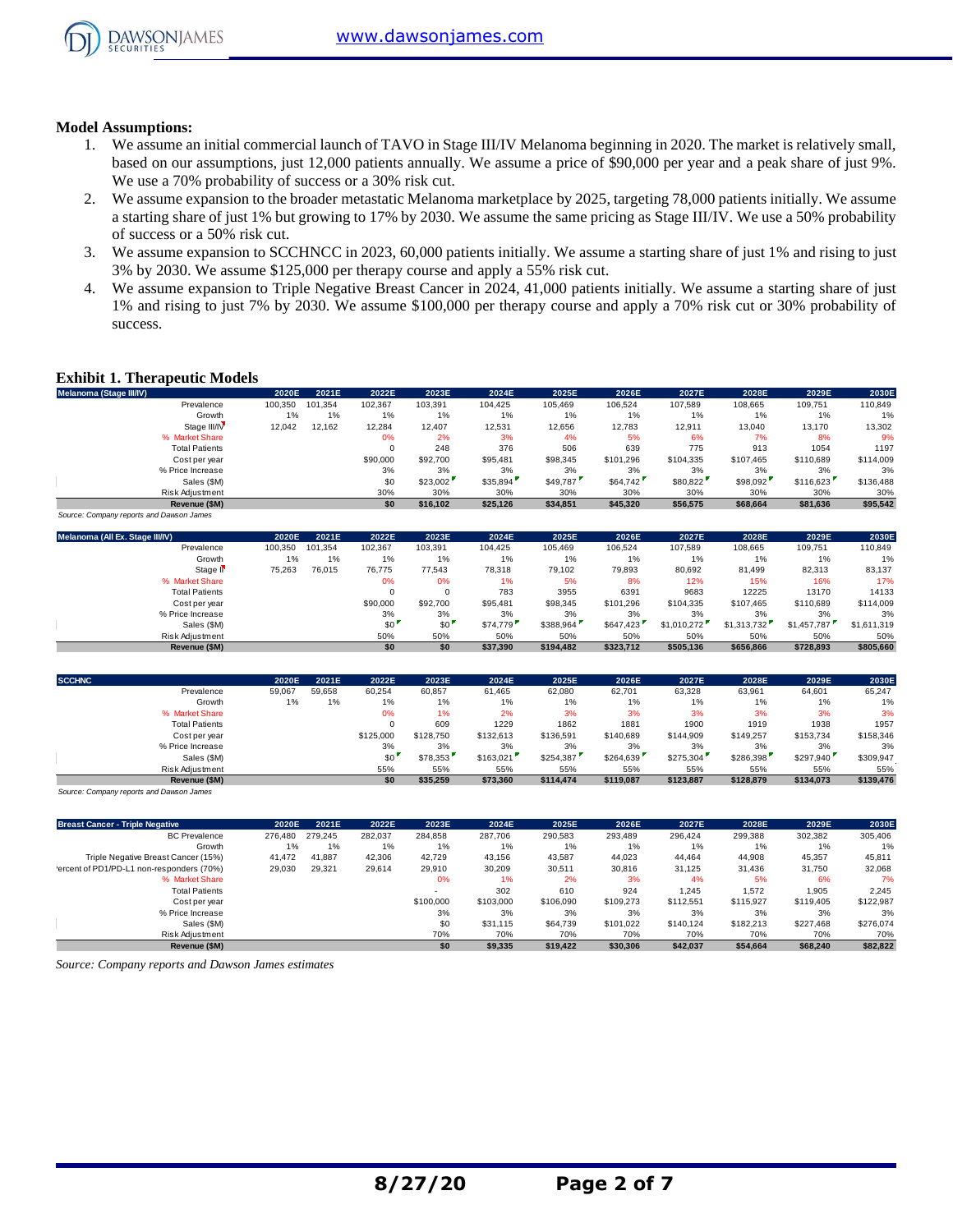

# **Model Assumptions:**

- 1. We assume an initial commercial launch of TAVO in Stage III/IV Melanoma beginning in 2020. The market is relatively small, based on our assumptions, just 12,000 patients annually. We assume a price of \$90,000 per year and a peak share of just 9%. We use a 70% probability of success or a 30% risk cut.
- 2. We assume expansion to the broader metastatic Melanoma marketplace by 2025, targeting 78,000 patients initially. We assume a starting share of just 1% but growing to 17% by 2030. We assume the same pricing as Stage III/IV. We use a 50% probability of success or a 50% risk cut.
- 3. We assume expansion to SCCHNCC in 2023, 60,000 patients initially. We assume a starting share of just 1% and rising to just 3% by 2030. We assume \$125,000 per therapy course and apply a 55% risk cut.
- 4. We assume expansion to Triple Negative Breast Cancer in 2024, 41,000 patients initially. We assume a starting share of just 1% and rising to just 7% by 2030. We assume \$100,000 per therapy course and apply a 70% risk cut or 30% probability of success.

# **Exhibit 1. Therapeutic Models**

| <b>Exhibit 1. Therapeutic Models</b>     |         |         |          |          |          |          |           |           |           |           |           |
|------------------------------------------|---------|---------|----------|----------|----------|----------|-----------|-----------|-----------|-----------|-----------|
| Melanoma (Stage III/IV)                  | 2020E   | 2021E   | 2022E    | 2023E    | 2024E    | 2025E    | 2026E     | 2027E     | 2028E     | 2029E     | 2030E     |
| Prevalence                               | 100,350 | 101.354 | 102,367  | 103,391  | 104.425  | 105.469  | 106,524   | 107.589   | 108,665   | 109,751   | 110,849   |
| Growth                                   | 1%      | 1%      | 1%       | 1%       | 1%       | 1%       | 1%        | 1%        | 1%        | 1%        | 1%        |
| Stage III/IV                             | 12,042  | 12,162  | 12,284   | 12,407   | 12,531   | 12,656   | 12,783    | 12,911    | 13,040    | 13,170    | 13,302    |
| % Market Share                           |         |         | 0%       | 2%       | 3%       | 4%       | 5%        | 6%        | 7%        | 8%        | 9%        |
| <b>Total Patients</b>                    |         |         | $\Omega$ | 248      | 376      | 506      | 639       | 775       | 913       | 1054      | 1197      |
| Cost per year                            |         |         | \$90,000 | \$92,700 | \$95,481 | \$98,345 | \$101.296 | \$104,335 | \$107.465 | \$110,689 | \$114,009 |
| % Price Increase                         |         |         | 3%       | 3%       | 3%       | 3%       | 3%        | 3%        | 3%        | 3%        | 3%        |
| Sales (\$M)                              |         |         | \$0      | \$23,002 | \$35,894 | \$49,787 | \$64,742  | \$80,822  | \$98,092  | \$116,623 | \$136,488 |
| Risk Adjustment                          |         |         | 30%      | 30%      | 30%      | 30%      | 30%       | 30%       | 30%       | 30%       | 30%       |
| Revenue (\$M)                            |         |         | \$0      | \$16.102 | \$25,126 | \$34,851 | \$45,320  | \$56,575  | \$68,664  | \$81,636  | \$95,542  |
| Source: Company reports and Dawson James |         |         |          |          |          |          |           |           |           |           |           |

| Sales (\$M)                              |         |         | \$0      | \$23,002 | \$35,894 | \$49,787  | \$64,742  | \$80,822    | \$98,092    | \$116,623   | \$136,488   |
|------------------------------------------|---------|---------|----------|----------|----------|-----------|-----------|-------------|-------------|-------------|-------------|
| Risk Adjustment                          |         |         | 30%      | 30%      | 30%      | 30%       | 30%       | 30%         | 30%         | 30%         | 30%         |
| Revenue (\$M)                            |         |         | \$0      | \$16,102 | \$25,126 | \$34,851  | \$45,320  | \$56,575    | \$68,664    | \$81,636    | \$95,542    |
| Source: Company reports and Dawson James |         |         |          |          |          |           |           |             |             |             |             |
| Melanoma (All Ex. Stage III/IV)          | 2020E   | 2021E   | 2022E    | 2023E    | 2024E    | 2025E     | 2026E     | 2027E       | 2028E       | 2029E       | 2030E       |
| Prevalence                               | 100,350 | 101.354 | 102,367  | 103,391  | 104,425  | 105,469   | 106,524   | 107,589     | 108,665     | 109,751     | 110,849     |
| Growth                                   | 1%      | 1%      | 1%       | 1%       | 1%       | $1\%$     | 1%        | 1%          | 1%          | 1%          | 1%          |
| Stage II <sup></sup>                     | 75,263  | 76,015  | 76,775   | 77,543   | 78,318   | 79,102    | 79,893    | 80,692      | 81,499      | 82,313      | 83,137      |
| % Market Share                           |         |         | 0%       | 0%       | 1%       | 5%        | 8%        | 12%         | 15%         | 16%         | 17%         |
| <b>Total Patients</b>                    |         |         |          | $\Omega$ | 783      | 3955      | 6391      | 9683        | 12225       | 13170       | 14133       |
| Cost per year                            |         |         | \$90,000 | \$92,700 | \$95,481 | \$98,345  | \$101.296 | \$104.335   | \$107,465   | \$110,689   | \$114,009   |
| % Price Increase                         |         |         | 3%       | 3%       | 3%       | 3%        | 3%        | 3%          | 3%          | 3%          | 3%          |
| Sales (\$M)                              |         |         | \$0      | \$0      | \$74,779 | \$388,964 | \$647,423 | \$1,010,272 | \$1,313,732 | \$1,457,787 | \$1,611,319 |
| <b>Risk Adiustment</b>                   |         |         | 50%      | 50%      | 50%      | 50%       | 50%       | 50%         | 50%         | 50%         | 50%         |
| Revenue (\$M)                            |         |         | \$0      | \$0      | \$37,390 | \$194,482 | \$323,712 | \$505,136   | \$656,866   | \$728,893   | \$805,660   |
|                                          |         |         |          |          |          |           |           |             |             |             |             |
|                                          |         |         |          |          |          |           |           |             |             |             |             |

|               | Sales (\$M)                              |        |        | \$0       | \$0       | \$74,779  | \$388,964 | \$647.423 | \$1,010,272 | \$1,313,732 | \$1,457,787 | \$1.611.319 |
|---------------|------------------------------------------|--------|--------|-----------|-----------|-----------|-----------|-----------|-------------|-------------|-------------|-------------|
|               | Risk Adjustment                          |        |        | 50%       | 50%       | 50%       | 50%       | 50%       | 50%         | 50%         | 50%         | 50%         |
|               | Revenue (\$M)                            |        |        | \$0       | \$0       | \$37,390  | \$194,482 | \$323.712 | \$505,136   | \$656,866   | \$728,893   | \$805,660   |
| <b>SCCHNC</b> |                                          | 2020E  | 2021E  | 2022E     | 2023E     | 2024E     | 2025E     | 2026E     | 2027E       | 2028E       | 2029E       | 2030E       |
|               | Prevalence                               | 59,067 | 59,658 | 60,254    | 60,857    | 61,465    | 62,080    | 62,701    | 63,328      | 63,961      | 64,601      | 65,247      |
|               | Growth                                   | 1%     | 1%     | 1%        | 1%        | 1%        | 1%        | 1%        | 1%          | 1%          | 1%          | 1%          |
|               | % Market Share                           |        |        | 0%        | 1%        | 2%        | 3%        | 3%        | 3%          | 3%          | 3%          | 3%          |
|               | <b>Total Patients</b>                    |        |        |           | 609       | 1229      | 1862      | 1881      | 1900        | 1919        | 1938        | 1957        |
|               | Cost per year                            |        |        | \$125,000 | \$128,750 | \$132,613 | \$136,591 | \$140,689 | \$144,909   | \$149,257   | \$153,734   | \$158,346   |
|               | % Price Increase                         |        |        | 3%        | 3%        | 3%        | 3%        | 3%        | 3%          | 3%          | 3%          | 3%          |
|               | Sales (\$M)                              |        |        | \$0       | \$78,353  | \$163,021 | \$254,387 | \$264,639 | \$275,304   | \$286,398   | \$297,940   | \$309,947   |
|               | <b>Risk Adiustment</b>                   |        |        | 55%       | 55%       | 55%       | 55%       | 55%       | 55%         | 55%         | 55%         | 55%         |
|               | Revenue (\$M)                            |        |        | \$0       | \$35,259  | \$73,360  | \$114,474 | \$119,087 | \$123,887   | \$128,879   | \$134,073   | \$139,476   |
|               | Source: Company reports and Dawson James |        |        |           |           |           |           |           |             |             |             |             |

| Risk Adjustment                                    |         |         | 55%     | 55%       | 55%       | 55%       | 55%       | 55%       | 55%       | 55%       | 55%       |
|----------------------------------------------------|---------|---------|---------|-----------|-----------|-----------|-----------|-----------|-----------|-----------|-----------|
| Revenue (\$M)                                      |         |         | \$0     | \$35,259  | \$73,360  | \$114,474 | \$119,087 | \$123.887 | \$128,879 | \$134,073 | \$139,476 |
| Source: Company reports and Dawson James           |         |         |         |           |           |           |           |           |           |           |           |
| <b>Breast Cancer - Triple Negative</b>             | 2020E   | 2021E   | 2022E   | 2023E     | 2024E     | 2025E     | 2026E     | 2027E     | 2028E     | 2029E     | 2030E     |
| <b>BC</b> Prevalence                               | 276.480 | 279.245 | 282,037 | 284.858   | 287,706   | 290,583   | 293.489   | 296.424   | 299,388   | 302,382   | 305,406   |
| Growth                                             | 1%      | 1%      | 1%      | 1%        | 1%        | 1%        | 1%        | 1%        | 1%        | 1%        | 1%        |
| Triple Negative Breast Cancer (15%)                | 41,472  | 41,887  | 42,306  | 42.729    | 43,156    | 43,587    | 44,023    | 44.464    | 44,908    | 45,357    | 45,811    |
| 'ercent of PD1/PD-L1 non-responders (70%)          | 29,030  | 29,321  | 29,614  | 29,910    | 30,209    | 30,511    | 30,816    | 31,125    | 31,436    | 31,750    | 32,068    |
| % Market Share                                     |         |         |         | 0%        | 1%        | 2%        | 3%        | 4%        | 5%        | 6%        | 7%        |
| <b>Total Patients</b>                              |         |         |         |           | 302       | 610       | 924       | 1,245     | 1,572     | 1,905     | 2,245     |
| Cost per year                                      |         |         |         | \$100,000 | \$103,000 | \$106,090 | \$109.273 | \$112,551 | \$115,927 | \$119,405 | \$122,987 |
| % Price Increase                                   |         |         |         | 3%        | 3%        | 3%        | 3%        | 3%        | 3%        | 3%        | 3%        |
| Sales (\$M)                                        |         |         |         | \$0       | \$31.115  | \$64,739  | \$101.022 | \$140.124 | \$182,213 | \$227,468 | \$276,074 |
| Risk Adjustment                                    |         |         |         | 70%       | 70%       | 70%       | 70%       | 70%       | 70%       | 70%       | 70%       |
| Revenue (\$M)                                      |         |         |         | \$0       | \$9,335   | \$19,422  | \$30,306  | \$42,037  | \$54,664  | \$68,240  | \$82,822  |
| Source: Company reports and Dawson James estimates |         |         |         |           |           |           |           |           |           |           |           |

*Source: Company reports and Dawson James estimates*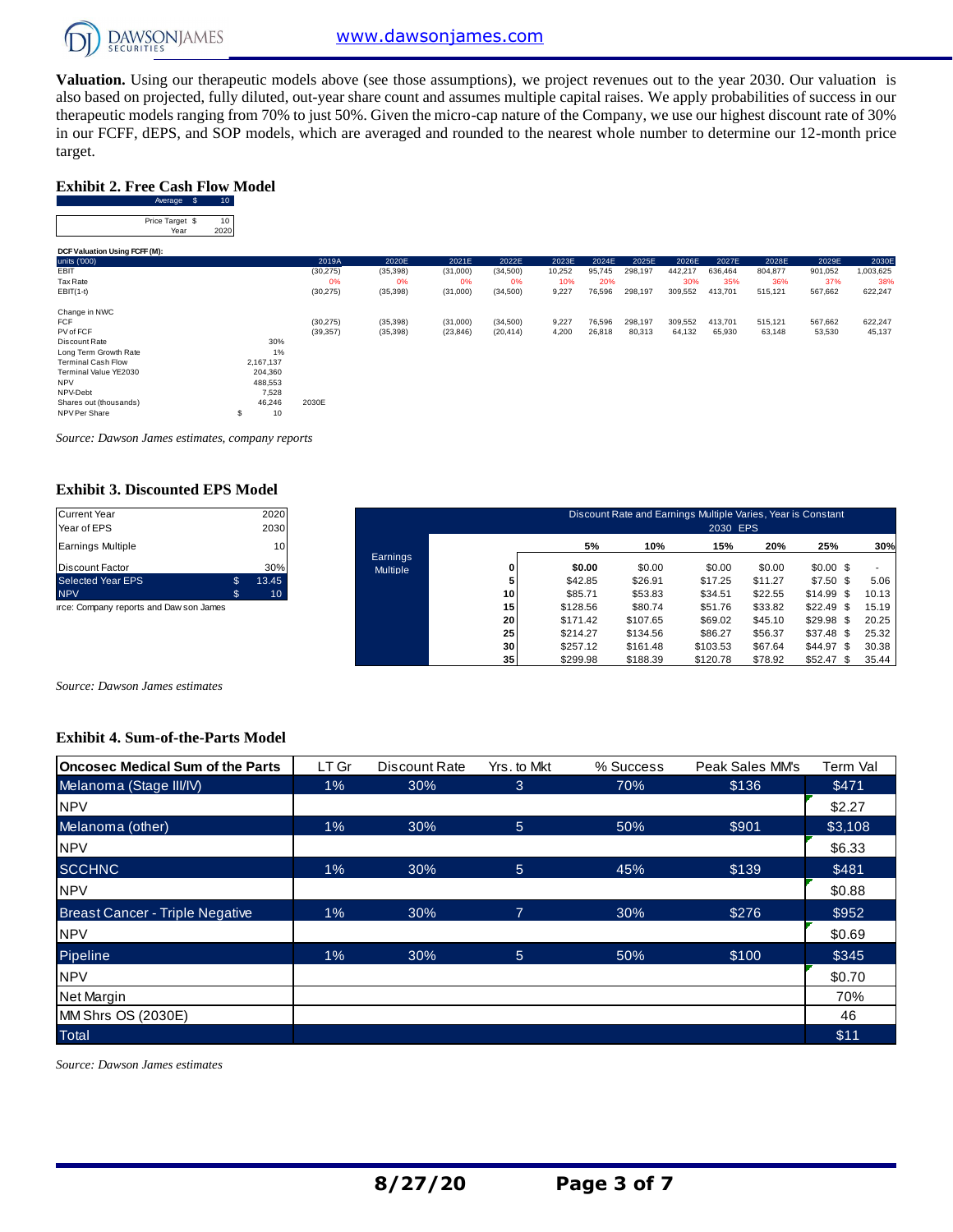

**Valuation.** Using our therapeutic models above (see those assumptions), we project revenues out to the year 2030. Our valuation is also based on projected, fully diluted, out-year share count and assumes multiple capital raises. We apply probabilities of success in our therapeutic models ranging from 70% to just 50%. Given the micro-cap nature of the Company, we use our highest discount rate of 30% Exhibit 2. Free Cash Flow Model<br>
Exhibit 2. Free Cash Flow Model<br>
Average \$ 10<br>
Price Tange! \$ 10 target.

# **Exhibit 2. Free Cash Flow Model**

| target.                                              |                 |           |           |           |           |        |        |         |         |         |         |         |           |
|------------------------------------------------------|-----------------|-----------|-----------|-----------|-----------|--------|--------|---------|---------|---------|---------|---------|-----------|
| <b>Exhibit 2. Free Cash Flow Model</b><br>Average \$ | 10 <sub>1</sub> |           |           |           |           |        |        |         |         |         |         |         |           |
| Price Target \$<br>Year                              | 10<br>2020      |           |           |           |           |        |        |         |         |         |         |         |           |
| DCF Valuation Using FCFF (M):                        |                 |           |           |           |           |        |        |         |         |         |         |         |           |
| units ('000)                                         |                 | 2019A     | 2020E     | 2021E     | 2022E     | 2023E  | 2024E  | 2025E   | 2026E   | 2027E   | 2028E   | 2029E   | 2030E     |
| EBIT                                                 |                 | (30, 275) | (35, 398) | (31,000)  | (34,500)  | 10,252 | 95,745 | 298,197 | 442,217 | 636,464 | 804,877 | 901,052 | 1,003,625 |
| Tax Rate                                             |                 | 0%        | 0%        | 0%        | 0%        | 10%    | 20%    |         | 30%     | 35%     | 36%     | 37%     | 38%       |
| $EBIT(1-t)$                                          |                 | (30, 275) | (35, 398) | (31,000)  | (34, 500) | 9,227  | 76,596 | 298,197 | 309,552 | 413,701 | 515,121 | 567,662 | 622,247   |
| Change in NWC                                        |                 |           |           |           |           |        |        |         |         |         |         |         |           |
| <b>FCF</b>                                           |                 | (30, 275) | (35, 398) | (31,000)  | (34,500)  | 9,227  | 76,596 | 298,197 | 309,552 | 413,701 | 515,121 | 567,662 | 622,247   |
| PV of FCF                                            |                 | (39, 357) | (35, 398) | (23, 846) | (20, 414) | 4,200  | 26,818 | 80,313  | 64,132  | 65,930  | 63,148  | 53,530  | 45,137    |
| Discount Rate                                        | 30%             |           |           |           |           |        |        |         |         |         |         |         |           |
| Long Term Growth Rate                                | 1%              |           |           |           |           |        |        |         |         |         |         |         |           |
| <b>Terminal Cash Flow</b>                            | 2,167,137       |           |           |           |           |        |        |         |         |         |         |         |           |
| Terminal Value YE2030                                | 204,360         |           |           |           |           |        |        |         |         |         |         |         |           |
| <b>NPV</b>                                           | 488,553         |           |           |           |           |        |        |         |         |         |         |         |           |
| NPV-Debt                                             | 7,528           |           |           |           |           |        |        |         |         |         |         |         |           |
| Shares out (thousands)                               | 46,246          | 2030E     |           |           |           |        |        |         |         |         |         |         |           |
| NPV Per Share                                        | 10<br>\$        |           |           |           |           |        |        |         |         |         |         |         |           |

*Source: Dawson James estimates, company reports*

# **Exhibit 3. Discounted EPS Model**

| <b>Current Year</b>      |    | 2020  |
|--------------------------|----|-------|
| Year of EPS              |    | 2030  |
| <b>Earnings Multiple</b> |    | 10    |
| <b>Discount Factor</b>   |    | 30%   |
| <b>Selected Year EPS</b> | \$ | 13.45 |
| <b>NPV</b>               | 'S | 10    |

| <b>Current Year</b><br>Year of EPS      |              | 2020<br>2030    |                             |                 |          | Discount Rate and Earnings Multiple Varies, Year is Constant | 2030 EPS |         |                 |       |
|-----------------------------------------|--------------|-----------------|-----------------------------|-----------------|----------|--------------------------------------------------------------|----------|---------|-----------------|-------|
| <b>Earnings Multiple</b>                |              | 10 <sub>1</sub> |                             |                 | 5%       | 10%                                                          | 15%      | 20%     | 25%             | 30%   |
| <b>Discount Factor</b>                  |              | 30%             | Earnings<br><b>Multiple</b> |                 | \$0.00   | \$0.00                                                       | \$0.00   | \$0.00  | $$0.00$ \$      |       |
| <b>Selected Year EPS</b>                | $\mathbb{S}$ | 13.45           |                             |                 | \$42.85  | \$26.91                                                      | \$17.25  | \$11.27 | $$7.50$ \$      | 5.06  |
| <b>NPV</b>                              | \$           | 10 <sup>°</sup> |                             | 10              | \$85.71  | \$53.83                                                      | \$34.51  | \$22.55 | \$14.99<br>- \$ | 10.13 |
| irce: Company reports and Daw son James |              |                 |                             | 15              | \$128.56 | \$80.74                                                      | \$51.76  | \$33.82 | \$22.49<br>\$   | 15.19 |
|                                         |              |                 |                             | 20              | \$171.42 | \$107.65                                                     | \$69.02  | \$45.10 | \$29.98<br>- \$ | 20.25 |
|                                         |              |                 |                             | 25              | \$214.27 | \$134.56                                                     | \$86.27  | \$56.37 | \$37.48<br>- \$ | 25.32 |
|                                         |              |                 |                             | 30              | \$257.12 | \$161.48                                                     | \$103.53 | \$67.64 | \$44.97<br>\$   | 30.38 |
|                                         |              |                 |                             | 35 <sub>1</sub> | \$299.98 | \$188.39                                                     | \$120.78 | \$78.92 | \$52.47<br>\$   | 35.44 |

*Source: Dawson James estimates*

# **Exhibit 4. Sum-of-the-Parts Model**

| Oncosec Medical Sum of the Parts       | LT Gr | Discount Rate | Yrs. to Mkt | % Success | Peak Sales MM's | Term Val |
|----------------------------------------|-------|---------------|-------------|-----------|-----------------|----------|
| Melanoma (Stage III/IV)                | $1\%$ | 30%           | 3           | 70%       | \$136           | \$471    |
| <b>NPV</b>                             |       |               |             |           |                 | \$2.27   |
| Melanoma (other)                       | 1%    | 30%           | 5           | 50%       | \$901           | \$3,108  |
| <b>NPV</b>                             |       |               |             |           |                 | \$6.33   |
| <b>SCCHNC</b>                          | $1\%$ | 30%           | 5           | 45%       | \$139           | \$481    |
| <b>NPV</b>                             |       |               |             |           |                 | \$0.88   |
| <b>Breast Cancer - Triple Negative</b> | 1%    | 30%           | 7           | 30%       | \$276           | \$952    |
| <b>NPV</b>                             |       |               |             |           |                 | \$0.69   |
| Pipeline                               | 1%    | 30%           | 5           | 50%       | \$100           | \$345    |
| <b>NPV</b>                             |       |               |             |           |                 | \$0.70   |
| Net Margin                             |       |               |             |           |                 | 70%      |
| MM Shrs OS (2030E)                     |       |               |             |           |                 | 46       |
| <b>Total</b>                           |       |               |             |           |                 | \$11     |

*Source: Dawson James estimates*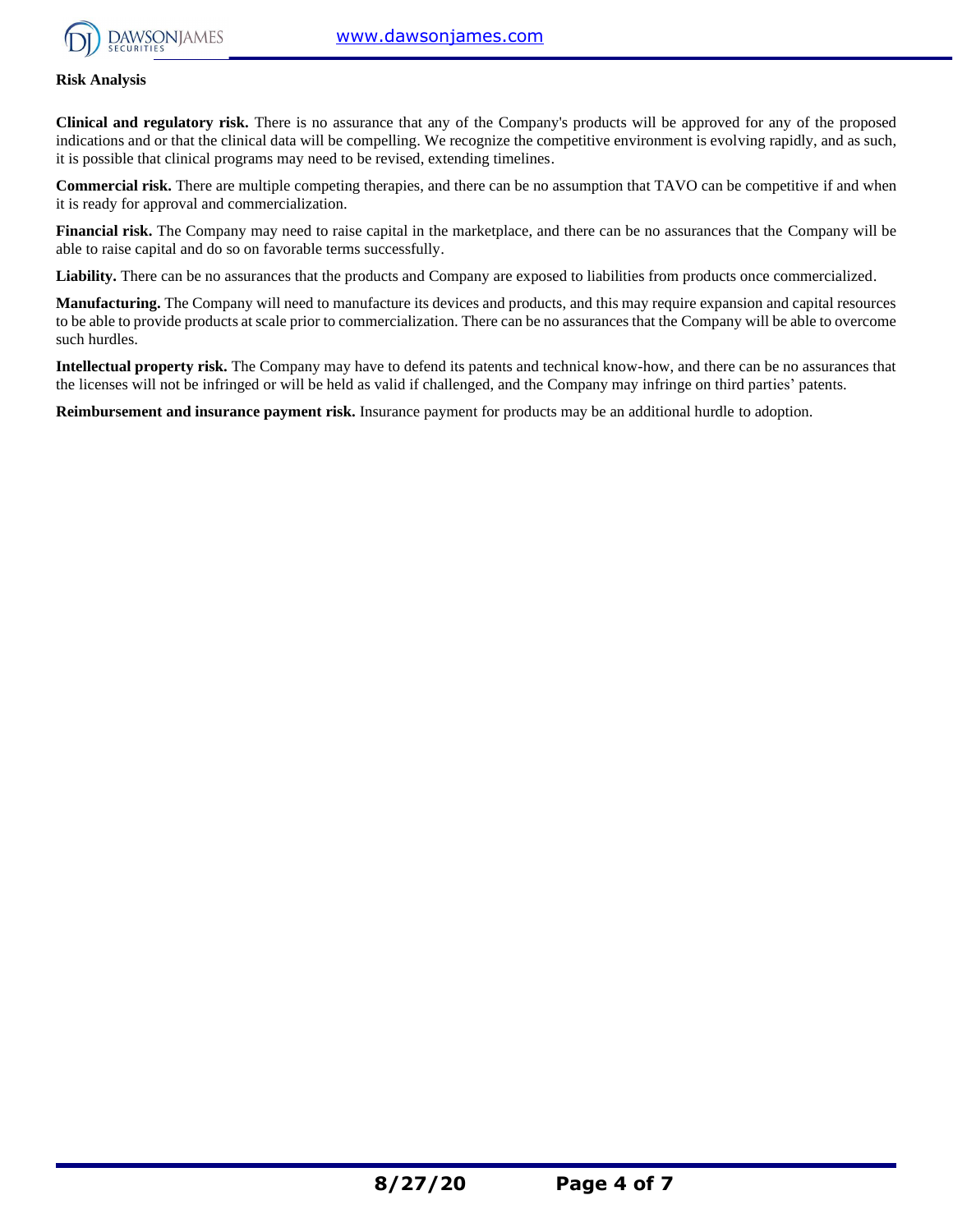

# **Risk Analysis**

**Clinical and regulatory risk.** There is no assurance that any of the Company's products will be approved for any of the proposed indications and or that the clinical data will be compelling. We recognize the competitive environment is evolving rapidly, and as such, it is possible that clinical programs may need to be revised, extending timelines.

**Commercial risk.** There are multiple competing therapies, and there can be no assumption that TAVO can be competitive if and when it is ready for approval and commercialization.

**Financial risk.** The Company may need to raise capital in the marketplace, and there can be no assurances that the Company will be able to raise capital and do so on favorable terms successfully.

Liability. There can be no assurances that the products and Company are exposed to liabilities from products once commercialized.

**Manufacturing.** The Company will need to manufacture its devices and products, and this may require expansion and capital resources to be able to provide products at scale prior to commercialization. There can be no assurances that the Company will be able to overcome such hurdles.

**Intellectual property risk.** The Company may have to defend its patents and technical know-how, and there can be no assurances that the licenses will not be infringed or will be held as valid if challenged, and the Company may infringe on third parties' patents.

**Reimbursement and insurance payment risk.** Insurance payment for products may be an additional hurdle to adoption.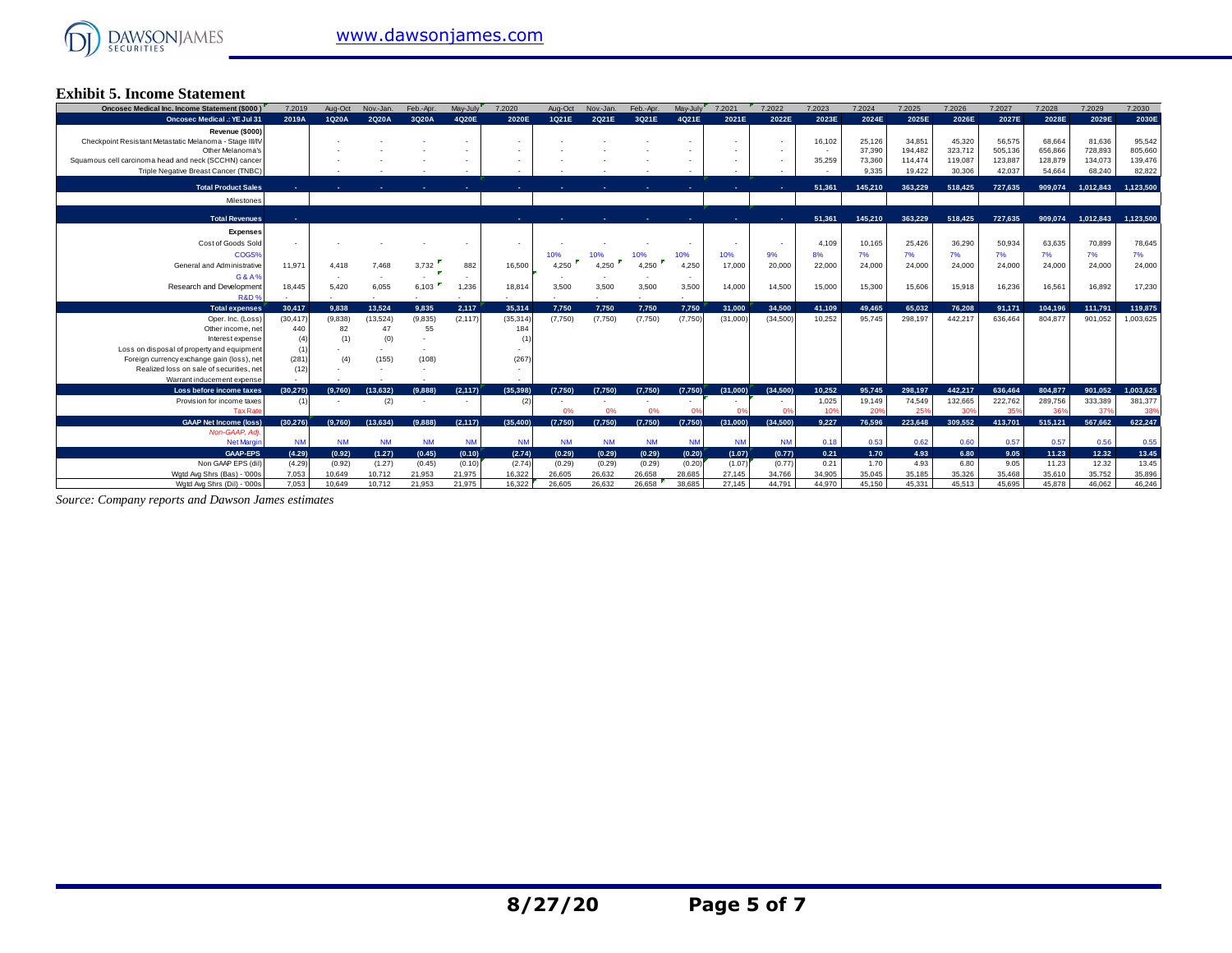

# **Exhibit 5. Income Statement**

| <b>Oncosec Medical Inc. Income Statement (\$000)</b>                                     | 7.2019          | Aug-Oct          | Nov.-Jan.        | Feb.-Apr.        | May-July         | 7.2020           | Aug-Oct          | Nov.-Jan.        | Feb.-Apr.        | May-July         | 7.2021           | 7.2022           | 7.2023         | 7.2024           | 7.2025             | 7,2026             | 7.2027             | 7.2028             | 7.2029             | 7.2030             |
|------------------------------------------------------------------------------------------|-----------------|------------------|------------------|------------------|------------------|------------------|------------------|------------------|------------------|------------------|------------------|------------------|----------------|------------------|--------------------|--------------------|--------------------|--------------------|--------------------|--------------------|
| <b>Oncosec Medical .: YE Jul 31</b>                                                      | 2019A           | 1Q20A            | 2Q20A            | 3Q20A            | 4Q20E            | 2020E            | 1Q21E            | 2Q21E            | 3Q21E            | 4Q21E            | 2021E            | 2022E            | 2023E          | 2024E            | 2025E              | 2026E              | 2027E              | 2028E              | 2029E              | 2030E              |
| Revenue (\$000)                                                                          |                 |                  |                  |                  |                  |                  |                  |                  |                  |                  |                  |                  |                |                  |                    |                    |                    |                    |                    |                    |
| Checkpoint Resistant Metastatic Melanoma - Stage III/IV                                  |                 |                  |                  |                  |                  |                  |                  |                  |                  |                  |                  |                  | 16,102         | 25,126           | 34,851             | 45,320             | 56,575             | 68,664             | 81.636             | 95,542             |
| Other Melanoma's<br>Squamous cell carcinoma head and neck (SCCHN) cancer                 |                 |                  |                  |                  |                  |                  |                  |                  |                  |                  |                  |                  | 35,259         | 37,390<br>73,360 | 194.482<br>114,474 | 323,712<br>119,087 | 505,136<br>123,887 | 656,866<br>128,879 | 728,893<br>134,073 | 805,660<br>139,476 |
| Triple Negative Breast Cancer (TNBC)                                                     |                 |                  |                  |                  |                  |                  |                  |                  |                  |                  |                  |                  |                | 9.335            | 19,422             | 30,306             | 42,037             | 54,664             | 68,240             | 82,822             |
|                                                                                          |                 |                  |                  |                  |                  |                  |                  |                  |                  |                  |                  |                  |                |                  |                    |                    |                    |                    |                    |                    |
| <b>Total Product Sales</b>                                                               |                 |                  |                  |                  |                  |                  |                  |                  |                  |                  |                  |                  | 51,361         | 145,210          | 363.229            | 518,425            | 727.635            | 909.074            | 1,012,843          | 1,123,500          |
| Milestones                                                                               |                 |                  |                  |                  |                  |                  |                  |                  |                  |                  |                  |                  |                |                  |                    |                    |                    |                    |                    |                    |
| <b>Total Revenues</b>                                                                    |                 |                  |                  |                  |                  |                  |                  |                  |                  |                  |                  |                  | 51,361         | 145.210          | 363.229            | 518,425            | 727,635            | 909.074            | 1,012,843          | 1,123,500          |
| <b>Expenses</b>                                                                          |                 |                  |                  |                  |                  |                  |                  |                  |                  |                  |                  |                  |                |                  |                    |                    |                    |                    |                    |                    |
| Cost of Goods Sold                                                                       |                 |                  |                  |                  |                  |                  |                  |                  |                  |                  |                  |                  | 4.109          | 10,165           | 25.426             | 36,290             | 50.934             | 63.635             | 70.899             | 78,645             |
| COGS%                                                                                    |                 |                  |                  |                  |                  |                  | 10%              | 10%              | 10%              | 10%              | 10%              | 9%               | 8%             | 7%               | 7%                 | 7%                 | 7%                 | 7%                 | 7%                 | 7%                 |
| General and Administrative                                                               | 11.971          | 4.418            | 7.468            | 3,732            | 882              | 16,500           | 4.250            | 4.250            | 4,250            | 4,250            | 17,000           | 20,000           | 22,000         | 24,000           | 24,000             | 24,000             | 24,000             | 24,000             | 24,000             | 24,000             |
| G&A%                                                                                     |                 |                  |                  |                  |                  |                  |                  |                  |                  |                  |                  |                  |                |                  |                    |                    |                    |                    |                    |                    |
| Research and Development                                                                 | 18.445          | 5.420            | 6,055            | 6,103            | 1,236            | 18,814           | 3,500            | 3,500            | 3,500            | 3,500            | 14,000           | 14.500           | 15,000         | 15,300           | 15,606             | 15,918             | 16,236             | 16,561             | 16,892             | 17,230             |
| R&D <sup>®</sup>                                                                         |                 |                  |                  |                  |                  |                  |                  |                  |                  |                  |                  |                  |                |                  |                    |                    |                    |                    |                    |                    |
| <b>Total expenses</b>                                                                    | 30.417          | 9.838            | 13.524           | 9.835            | 2.117            | 35.314           | 7.750            | 7.750            | 7.750            | 7.750            | 31.000           | 34.500           | 41.109         | 49.465           | 65.032             | 76.208             | 91.171             | 104.196            | 111.791            | 119,875            |
| Oper, Inc. (Loss)                                                                        | (30.417)        | (9.838)          | (13,524)         | (9,835)          | (2, 117)         | (35, 314)        | (7.750)          | (7,750)          | (7,750)          | (7,750)          | (31,000)         | (34.500)         | 10.252         | 95.745           | 298.197            | 442.217            | 636,464            | 804.877            | 901.052            | 1,003,625          |
| Other income, net                                                                        | 440             | 82               | 47               | 55               |                  | 184              |                  |                  |                  |                  |                  |                  |                |                  |                    |                    |                    |                    |                    |                    |
| Interest expense                                                                         | (4)             | (1)              | (0)              |                  |                  |                  |                  |                  |                  |                  |                  |                  |                |                  |                    |                    |                    |                    |                    |                    |
| Loss on disposal of property and equipment<br>Foreign currency exchange gain (loss), net | (1)<br>(281)    | (4)              | (155)            | (108)            |                  | (267)            |                  |                  |                  |                  |                  |                  |                |                  |                    |                    |                    |                    |                    |                    |
| Realized loss on sale of securities, net                                                 | (12)            |                  |                  |                  |                  |                  |                  |                  |                  |                  |                  |                  |                |                  |                    |                    |                    |                    |                    |                    |
| Warrant inducement expense                                                               |                 |                  |                  |                  |                  |                  |                  |                  |                  |                  |                  |                  |                |                  |                    |                    |                    |                    |                    |                    |
| Loss before income taxes                                                                 | (30.275)        | (9.760)          | (13.632)         | (9.888)          | (2.117)          | (35.398)         | (7.750)          | (7.750)          | (7.750)          | (7.750)          | (31.000)         | (34.500)         | 10.252         | 95.745           | 298.197            | 442.217            | 636,464            | 804.877            | 901.052            | 1.003.625          |
| Provision for income taxes                                                               |                 |                  | (2)              |                  |                  | (2)              |                  |                  |                  |                  |                  |                  | 1,025          | 19,149           | 74,549             | 132,665            | 222,762            | 289,756            | 333,389            | 381,377            |
|                                                                                          |                 |                  |                  |                  |                  |                  |                  |                  |                  |                  |                  |                  |                |                  |                    |                    |                    |                    |                    | 38%                |
| <b>Tax Rate</b>                                                                          |                 |                  |                  |                  |                  |                  | 0%               | 0%               | 0%               |                  |                  |                  | 10%            | 20%              | 25%                | 30%                | 359                | 36                 | 37%                |                    |
| <b>GAAP Net Income (loss)</b>                                                            | (30, 276)       | (9.760)          | (13,634)         | (9.888)          | (2, 117)         | (35, 400)        | (7,750)          | (7,750)          | (7,750)          | (7,750)          | (31,000)         | (34,500)         | 9.227          | 76.596           | 223.648            | 309,552            | 413,701            | 515,121            | 567.662            | 622,247            |
| Non-GAAP, Adi.                                                                           |                 |                  |                  |                  |                  |                  |                  |                  |                  |                  |                  |                  |                |                  |                    |                    |                    |                    |                    |                    |
| <b>Net Margin</b>                                                                        | <b>NM</b>       | <b>NM</b>        | <b>NM</b>        | <b>NM</b>        | <b>NM</b>        | <b>NM</b>        | <b>NM</b>        | <b>NM</b>        | <b>NM</b>        | <b>NM</b>        | <b>NM</b>        | <b>NM</b>        | 0.18           | 0.53             | 0.62               | 0.60               | 0.57               | 0.57               | 0.56               | 0.55               |
| <b>GAAP-EPS</b>                                                                          | (4.29)          | (0.92)           | (1.27)           | (0.45)           | (0.10)           | (2.74)           | (0.29)           | (0.29)           | (0.29)           | (0.20)           | (1.07)           | (0.77)           | 0.21           | 1.70             | 4.93               | 6.80               | 9.05               | 11.23              | 12.32              | 13.45              |
| Non GAAP EPS (dil)<br>Wgtd Avg Shrs (Bas) - '000s                                        | (4.29)<br>7,053 | (0.92)<br>10,649 | (1.27)<br>10,712 | (0.45)<br>21,953 | (0.10)<br>21,975 | (2.74)<br>16,322 | (0.29)<br>26,605 | (0.29)<br>26,632 | (0.29)<br>26,658 | (0.20)<br>28,685 | (1.07)<br>27.145 | (0.77)<br>34.766 | 0.21<br>34,905 | 1.70<br>35,045   | 4.93<br>35,185     | 6.80<br>35,326     | 9.05<br>35,468     | 11.23<br>35,610    | 12.32<br>35,752    | 13.45<br>35,896    |

*Source: Company reports and Dawson James estimates*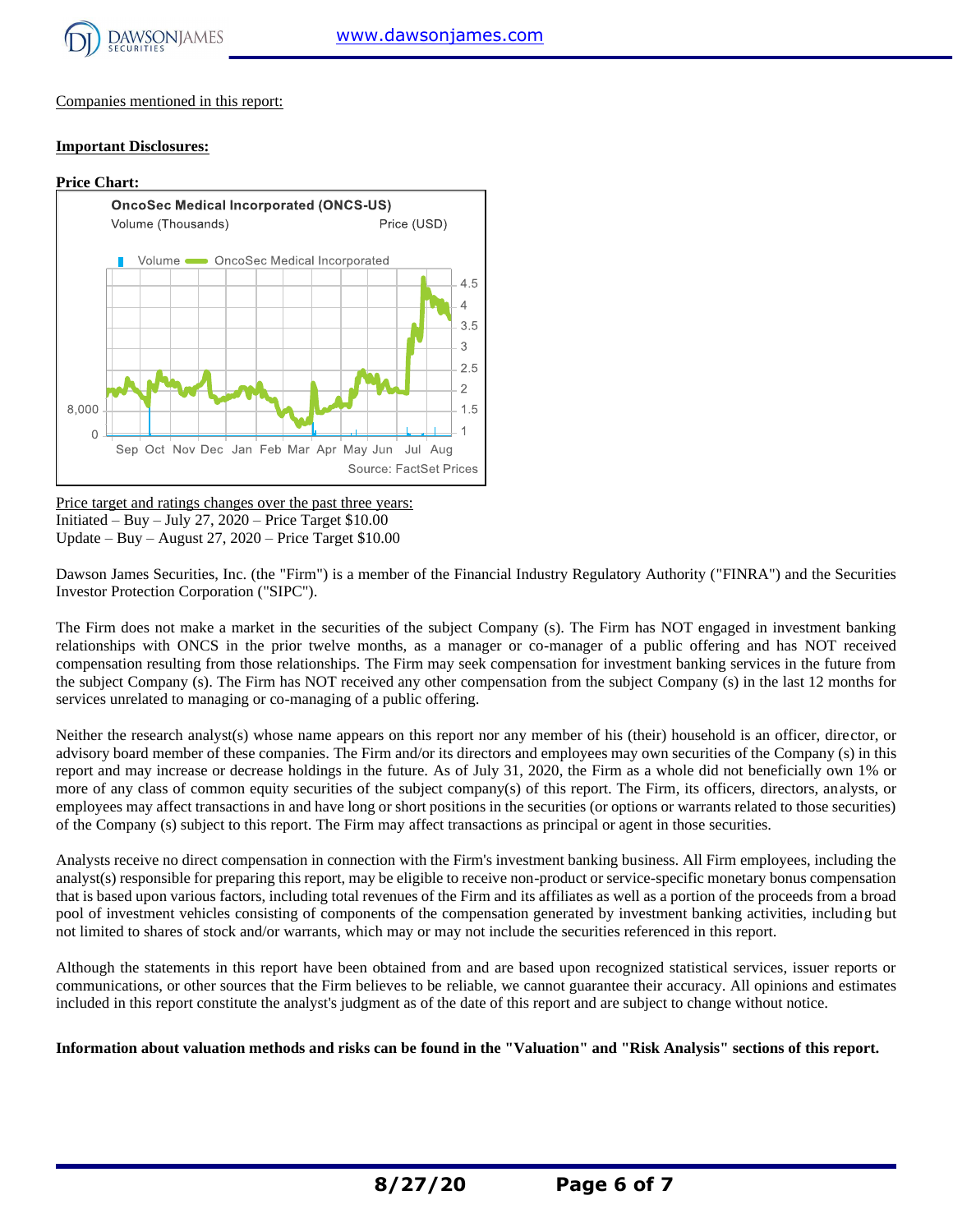

Companies mentioned in this report:

# **Important Disclosures:**



Price target and ratings changes over the past three years: Initiated – Buy – July 27,  $2020$  – Price Target \$10.00 Update – Buy – August 27, 2020 – Price Target \$10.00

Dawson James Securities, Inc. (the "Firm") is a member of the Financial Industry Regulatory Authority ("FINRA") and the Securities Investor Protection Corporation ("SIPC").

The Firm does not make a market in the securities of the subject Company (s). The Firm has NOT engaged in investment banking relationships with ONCS in the prior twelve months, as a manager or co-manager of a public offering and has NOT received compensation resulting from those relationships. The Firm may seek compensation for investment banking services in the future from the subject Company (s). The Firm has NOT received any other compensation from the subject Company (s) in the last 12 months for services unrelated to managing or co-managing of a public offering.

Neither the research analyst(s) whose name appears on this report nor any member of his (their) household is an officer, director, or advisory board member of these companies. The Firm and/or its directors and employees may own securities of the Company (s) in this report and may increase or decrease holdings in the future. As of July 31, 2020, the Firm as a whole did not beneficially own 1% or more of any class of common equity securities of the subject company(s) of this report. The Firm, its officers, directors, analysts, or employees may affect transactions in and have long or short positions in the securities (or options or warrants related to those securities) of the Company (s) subject to this report. The Firm may affect transactions as principal or agent in those securities.

Analysts receive no direct compensation in connection with the Firm's investment banking business. All Firm employees, including the analyst(s) responsible for preparing this report, may be eligible to receive non-product or service-specific monetary bonus compensation that is based upon various factors, including total revenues of the Firm and its affiliates as well as a portion of the proceeds from a broad pool of investment vehicles consisting of components of the compensation generated by investment banking activities, including but not limited to shares of stock and/or warrants, which may or may not include the securities referenced in this report.

Although the statements in this report have been obtained from and are based upon recognized statistical services, issuer reports or communications, or other sources that the Firm believes to be reliable, we cannot guarantee their accuracy. All opinions and estimates included in this report constitute the analyst's judgment as of the date of this report and are subject to change without notice.

**Information about valuation methods and risks can be found in the "Valuation" and "Risk Analysis" sections of this report.**